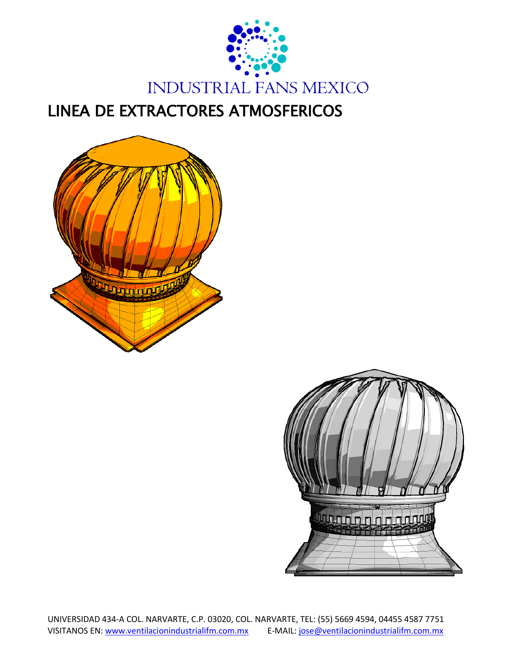

LINEA DE EXTRACTORES ATMOSFERICOS



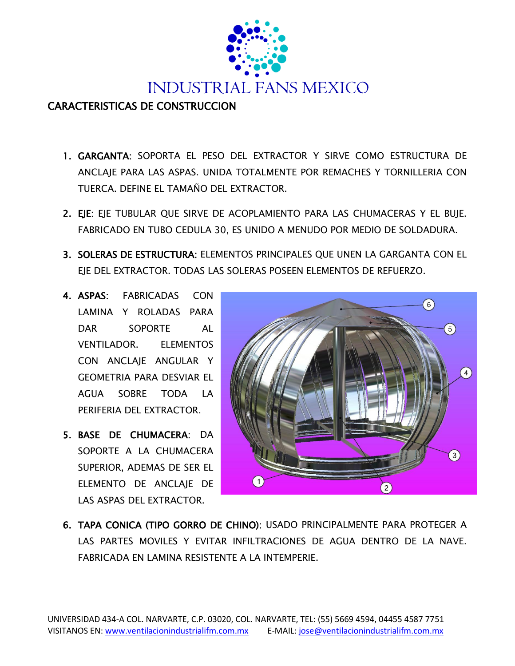

## CARACTERISTICAS DE CONSTRUCCION

- 1. GARGANTA: SOPORTA EL PESO DEL EXTRACTOR Y SIRVE COMO ESTRUCTURA DE ANCLAJE PARA LAS ASPAS. UNIDA TOTALMENTE POR REMACHES Y TORNILLERIA CON TUERCA. DEFINE EL TAMAÑO DEL EXTRACTOR.
- 2. EJE: EJE TUBULAR QUE SIRVE DE ACOPLAMIENTO PARA LAS CHUMACERAS Y EL BUJE. FABRICADO EN TUBO CEDULA 30, ES UNIDO A MENUDO POR MEDIO DE SOLDADURA.
- 3. SOLERAS DE ESTRUCTURA: ELEMENTOS PRINCIPALES QUE UNEN LA GARGANTA CON EL EJE DEL EXTRACTOR. TODAS LAS SOLERAS POSEEN ELEMENTOS DE REFUERZO.
- 4. ASPAS: FABRICADAS CON LAMINA Y ROLADAS PARA DAR SOPORTE AL VENTILADOR. ELEMENTOS CON ANCLAJE ANGULAR Y GEOMETRIA PARA DESVIAR EL AGUA SOBRE TODA LA PERIFERIA DEL EXTRACTOR.
- 5. BASE DE CHUMACERA: DA SOPORTE A LA CHUMACERA SUPERIOR, ADEMAS DE SER EL ELEMENTO DE ANCLAJE DE LAS ASPAS DEL EXTRACTOR.



6. TAPA CONICA (TIPO GORRO DE CHINO): USADO PRINCIPALMENTE PARA PROTEGER A LAS PARTES MOVILES Y EVITAR INFILTRACIONES DE AGUA DENTRO DE LA NAVE. FABRICADA EN LAMINA RESISTENTE A LA INTEMPERIE.